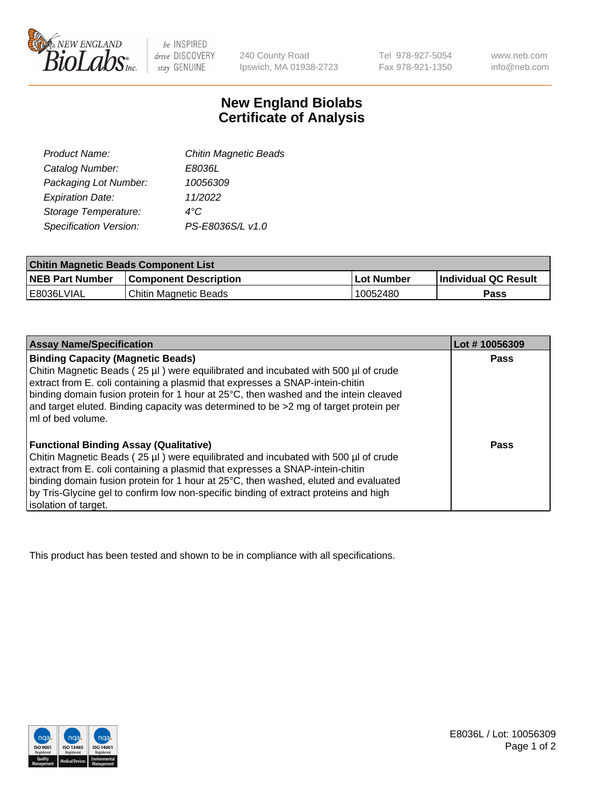

 $be$  INSPIRED drive DISCOVERY stay GENUINE

240 County Road Ipswich, MA 01938-2723

Tel 978-927-5054 Fax 978-921-1350 www.neb.com info@neb.com

## **New England Biolabs Certificate of Analysis**

| <b>Chitin Magnetic Beads</b> |
|------------------------------|
| E8036L                       |
| 10056309                     |
| 11/2022                      |
| 4°C                          |
| PS-E8036S/L v1.0             |
|                              |

| <b>Chitin Magnetic Beads Component List</b> |                              |            |                      |  |
|---------------------------------------------|------------------------------|------------|----------------------|--|
| <b>NEB Part Number</b>                      | <b>Component Description</b> | Lot Number | Individual QC Result |  |
| l E8036LVIAL                                | Chitin Magnetic Beads        | 10052480   | Pass                 |  |

| <b>Assay Name/Specification</b>                                                                                                                                                                                                                                                                                                                                                                                             | Lot #10056309 |
|-----------------------------------------------------------------------------------------------------------------------------------------------------------------------------------------------------------------------------------------------------------------------------------------------------------------------------------------------------------------------------------------------------------------------------|---------------|
| <b>Binding Capacity (Magnetic Beads)</b><br>Chitin Magnetic Beads (25 µl) were equilibrated and incubated with 500 µl of crude<br>extract from E. coli containing a plasmid that expresses a SNAP-intein-chitin<br>binding domain fusion protein for 1 hour at 25°C, then washed and the intein cleaved<br>and target eluted. Binding capacity was determined to be >2 mg of target protein per<br>ml of bed volume.        | <b>Pass</b>   |
| <b>Functional Binding Assay (Qualitative)</b><br>Chitin Magnetic Beads (25 µl) were equilibrated and incubated with 500 µl of crude<br>extract from E. coli containing a plasmid that expresses a SNAP-intein-chitin<br>binding domain fusion protein for 1 hour at 25°C, then washed, eluted and evaluated<br>by Tris-Glycine gel to confirm low non-specific binding of extract proteins and high<br>isolation of target. | Pass          |

This product has been tested and shown to be in compliance with all specifications.